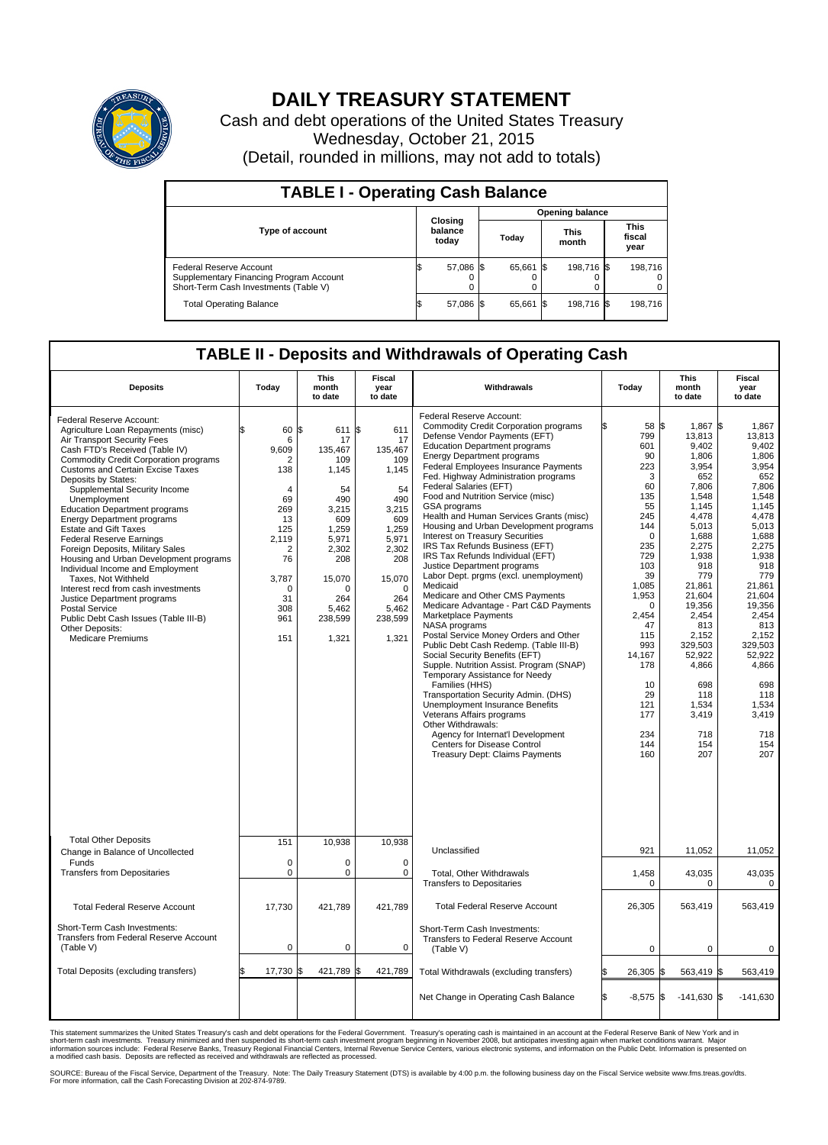

## **DAILY TREASURY STATEMENT**

Cash and debt operations of the United States Treasury Wednesday, October 21, 2015 (Detail, rounded in millions, may not add to totals)

| <b>TABLE I - Operating Cash Balance</b>                                                                     |  |                             |       |                        |                      |            |                               |         |  |  |  |
|-------------------------------------------------------------------------------------------------------------|--|-----------------------------|-------|------------------------|----------------------|------------|-------------------------------|---------|--|--|--|
|                                                                                                             |  |                             |       | <b>Opening balance</b> |                      |            |                               |         |  |  |  |
| <b>Type of account</b>                                                                                      |  | Closing<br>balance<br>today | Today |                        | <b>This</b><br>month |            | <b>This</b><br>fiscal<br>year |         |  |  |  |
| Federal Reserve Account<br>Supplementary Financing Program Account<br>Short-Term Cash Investments (Table V) |  | 57,086 \$                   |       | 65,661 \$              |                      | 198,716 \$ |                               | 198,716 |  |  |  |
| <b>Total Operating Balance</b>                                                                              |  | 57,086 \$                   |       | 65,661 \$              |                      | 198,716 \$ |                               | 198,716 |  |  |  |

## **TABLE II - Deposits and Withdrawals of Operating Cash**

| <b>Deposits</b>                                                                                                                                                                                                                                                                                                                                                                                                                                                                                                                                                                                                                                                                                                                                                     | Today                                                                                                                                                              | <b>This</b><br>month<br>to date                                                                                                                                  | <b>Fiscal</b><br>year<br>to date                                                                                                                              | Withdrawals                                                                                                                                                                                                                                                                                                                                                                                                                                                                                                                                                                                                                                                                                                                                                                                                                                                                                                                                                                                                                                                                                                                                                                                                                                         | Today                                                                                                                                                                                                                                            | This<br>month<br>to date                                                                                                                                                                                                                                                             | <b>Fiscal</b><br>year<br>to date                                                                                                                                                                                                                                                  |  |  |  |
|---------------------------------------------------------------------------------------------------------------------------------------------------------------------------------------------------------------------------------------------------------------------------------------------------------------------------------------------------------------------------------------------------------------------------------------------------------------------------------------------------------------------------------------------------------------------------------------------------------------------------------------------------------------------------------------------------------------------------------------------------------------------|--------------------------------------------------------------------------------------------------------------------------------------------------------------------|------------------------------------------------------------------------------------------------------------------------------------------------------------------|---------------------------------------------------------------------------------------------------------------------------------------------------------------|-----------------------------------------------------------------------------------------------------------------------------------------------------------------------------------------------------------------------------------------------------------------------------------------------------------------------------------------------------------------------------------------------------------------------------------------------------------------------------------------------------------------------------------------------------------------------------------------------------------------------------------------------------------------------------------------------------------------------------------------------------------------------------------------------------------------------------------------------------------------------------------------------------------------------------------------------------------------------------------------------------------------------------------------------------------------------------------------------------------------------------------------------------------------------------------------------------------------------------------------------------|--------------------------------------------------------------------------------------------------------------------------------------------------------------------------------------------------------------------------------------------------|--------------------------------------------------------------------------------------------------------------------------------------------------------------------------------------------------------------------------------------------------------------------------------------|-----------------------------------------------------------------------------------------------------------------------------------------------------------------------------------------------------------------------------------------------------------------------------------|--|--|--|
| Federal Reserve Account:<br>Agriculture Loan Repayments (misc)<br>Air Transport Security Fees<br>Cash FTD's Received (Table IV)<br><b>Commodity Credit Corporation programs</b><br><b>Customs and Certain Excise Taxes</b><br>Deposits by States:<br>Supplemental Security Income<br>Unemployment<br><b>Education Department programs</b><br><b>Energy Department programs</b><br><b>Estate and Gift Taxes</b><br><b>Federal Reserve Earnings</b><br>Foreign Deposits, Military Sales<br>Housing and Urban Development programs<br>Individual Income and Employment<br>Taxes. Not Withheld<br>Interest recd from cash investments<br>Justice Department programs<br>Postal Service<br>Public Debt Cash Issues (Table III-B)<br>Other Deposits:<br>Medicare Premiums | \$<br>60<br>6<br>9.609<br>2<br>138<br>$\overline{4}$<br>69<br>269<br>13<br>125<br>2,119<br>$\overline{2}$<br>76<br>3,787<br>$\mathbf 0$<br>31<br>308<br>961<br>151 | l\$<br>611 \$<br>17<br>135,467<br>109<br>1,145<br>54<br>490<br>3,215<br>609<br>1,259<br>5,971<br>2,302<br>208<br>15,070<br>n<br>264<br>5,462<br>238,599<br>1,321 | 611<br>17<br>135,467<br>109<br>1,145<br>54<br>490<br>3,215<br>609<br>1,259<br>5,971<br>2,302<br>208<br>15,070<br>$\Omega$<br>264<br>5,462<br>238,599<br>1,321 | Federal Reserve Account:<br><b>Commodity Credit Corporation programs</b><br>Defense Vendor Payments (EFT)<br><b>Education Department programs</b><br><b>Energy Department programs</b><br><b>Federal Employees Insurance Payments</b><br>Fed. Highway Administration programs<br>Federal Salaries (EFT)<br>Food and Nutrition Service (misc)<br><b>GSA</b> programs<br>Health and Human Services Grants (misc)<br>Housing and Urban Development programs<br>Interest on Treasury Securities<br>IRS Tax Refunds Business (EFT)<br>IRS Tax Refunds Individual (EFT)<br>Justice Department programs<br>Labor Dept. prgms (excl. unemployment)<br>Medicaid<br>Medicare and Other CMS Payments<br>Medicare Advantage - Part C&D Payments<br>Marketplace Payments<br>NASA programs<br>Postal Service Money Orders and Other<br>Public Debt Cash Redemp. (Table III-B)<br>Social Security Benefits (EFT)<br>Supple. Nutrition Assist. Program (SNAP)<br>Temporary Assistance for Needy<br>Families (HHS)<br>Transportation Security Admin. (DHS)<br>Unemployment Insurance Benefits<br>Veterans Affairs programs<br>Other Withdrawals:<br>Agency for Internat'l Development<br><b>Centers for Disease Control</b><br><b>Treasury Dept: Claims Payments</b> | 58 \$<br>ß<br>799<br>601<br>90<br>223<br>3<br>60<br>135<br>55<br>245<br>144<br>$\Omega$<br>235<br>729<br>103<br>39<br>1,085<br>1,953<br>$\mathbf 0$<br>2,454<br>47<br>115<br>993<br>14.167<br>178<br>10<br>29<br>121<br>177<br>234<br>144<br>160 | 1,867 \$<br>13,813<br>9.402<br>1,806<br>3,954<br>652<br>7,806<br>1,548<br>1.145<br>4,478<br>5,013<br>1,688<br>2,275<br>1,938<br>918<br>779<br>21,861<br>21,604<br>19,356<br>2,454<br>813<br>2,152<br>329,503<br>52,922<br>4,866<br>698<br>118<br>1,534<br>3,419<br>718<br>154<br>207 | 1,867<br>13,813<br>9.402<br>1,806<br>3,954<br>652<br>7,806<br>1,548<br>1.145<br>4,478<br>5,013<br>1,688<br>2,275<br>1,938<br>918<br>779<br>21.861<br>21.604<br>19,356<br>2,454<br>813<br>2,152<br>329,503<br>52.922<br>4,866<br>698<br>118<br>1,534<br>3,419<br>718<br>154<br>207 |  |  |  |
| <b>Total Other Deposits</b><br>Change in Balance of Uncollected                                                                                                                                                                                                                                                                                                                                                                                                                                                                                                                                                                                                                                                                                                     | 151                                                                                                                                                                | 10,938                                                                                                                                                           | 10,938                                                                                                                                                        | Unclassified                                                                                                                                                                                                                                                                                                                                                                                                                                                                                                                                                                                                                                                                                                                                                                                                                                                                                                                                                                                                                                                                                                                                                                                                                                        | 921                                                                                                                                                                                                                                              | 11,052                                                                                                                                                                                                                                                                               | 11,052                                                                                                                                                                                                                                                                            |  |  |  |
| Funds<br><b>Transfers from Depositaries</b>                                                                                                                                                                                                                                                                                                                                                                                                                                                                                                                                                                                                                                                                                                                         | $\mathbf 0$<br>$\mathbf 0$                                                                                                                                         | 0<br>0                                                                                                                                                           | $\mathbf 0$<br>$\mathbf 0$                                                                                                                                    | <b>Total, Other Withdrawals</b><br><b>Transfers to Depositaries</b>                                                                                                                                                                                                                                                                                                                                                                                                                                                                                                                                                                                                                                                                                                                                                                                                                                                                                                                                                                                                                                                                                                                                                                                 | 1,458<br>$\mathbf 0$                                                                                                                                                                                                                             | 43,035<br>0                                                                                                                                                                                                                                                                          | 43,035<br>0                                                                                                                                                                                                                                                                       |  |  |  |
| <b>Total Federal Reserve Account</b>                                                                                                                                                                                                                                                                                                                                                                                                                                                                                                                                                                                                                                                                                                                                | 17,730                                                                                                                                                             | 421,789                                                                                                                                                          | 421,789                                                                                                                                                       | <b>Total Federal Reserve Account</b>                                                                                                                                                                                                                                                                                                                                                                                                                                                                                                                                                                                                                                                                                                                                                                                                                                                                                                                                                                                                                                                                                                                                                                                                                | 26,305                                                                                                                                                                                                                                           | 563,419                                                                                                                                                                                                                                                                              | 563,419                                                                                                                                                                                                                                                                           |  |  |  |
| Short-Term Cash Investments:<br><b>Transfers from Federal Reserve Account</b><br>(Table V)                                                                                                                                                                                                                                                                                                                                                                                                                                                                                                                                                                                                                                                                          | $\pmb{0}$                                                                                                                                                          | $\mathbf 0$                                                                                                                                                      | 0                                                                                                                                                             | Short-Term Cash Investments:<br>Transfers to Federal Reserve Account<br>(Table V)                                                                                                                                                                                                                                                                                                                                                                                                                                                                                                                                                                                                                                                                                                                                                                                                                                                                                                                                                                                                                                                                                                                                                                   | 0                                                                                                                                                                                                                                                | 0                                                                                                                                                                                                                                                                                    | 0                                                                                                                                                                                                                                                                                 |  |  |  |
| Total Deposits (excluding transfers)                                                                                                                                                                                                                                                                                                                                                                                                                                                                                                                                                                                                                                                                                                                                | 17,730                                                                                                                                                             | 421,789                                                                                                                                                          | \$<br>421,789                                                                                                                                                 | Total Withdrawals (excluding transfers)                                                                                                                                                                                                                                                                                                                                                                                                                                                                                                                                                                                                                                                                                                                                                                                                                                                                                                                                                                                                                                                                                                                                                                                                             | 26,305                                                                                                                                                                                                                                           | 563,419 \$                                                                                                                                                                                                                                                                           | 563,419                                                                                                                                                                                                                                                                           |  |  |  |
|                                                                                                                                                                                                                                                                                                                                                                                                                                                                                                                                                                                                                                                                                                                                                                     |                                                                                                                                                                    |                                                                                                                                                                  |                                                                                                                                                               | Net Change in Operating Cash Balance                                                                                                                                                                                                                                                                                                                                                                                                                                                                                                                                                                                                                                                                                                                                                                                                                                                                                                                                                                                                                                                                                                                                                                                                                | Ŝ.<br>$-8,575$ \$                                                                                                                                                                                                                                | $-141,630$ \$                                                                                                                                                                                                                                                                        | $-141,630$                                                                                                                                                                                                                                                                        |  |  |  |

This statement summarizes the United States Treasury's cash and debt operations for the Federal Government. Treasury's operating cash is maintained in an account at the Federal Reserve Bank of New York and in<br>short-term ca

SOURCE: Bureau of the Fiscal Service, Department of the Treasury. Note: The Daily Treasury Statement (DTS) is available by 4:00 p.m. the following business day on the Fiscal Service website www.fms.treas.gov/dts.<br>For more